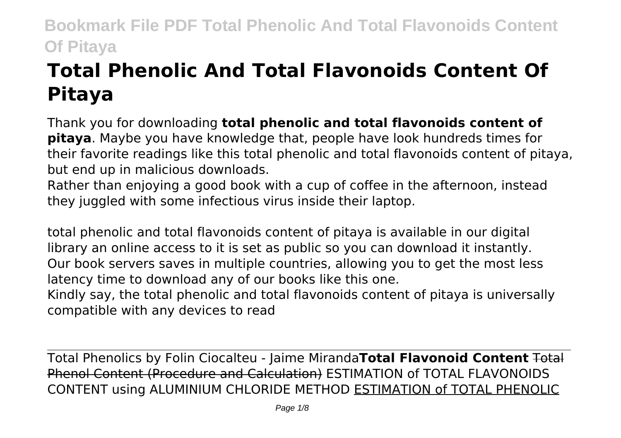# **Total Phenolic And Total Flavonoids Content Of Pitaya**

Thank you for downloading **total phenolic and total flavonoids content of pitaya**. Maybe you have knowledge that, people have look hundreds times for their favorite readings like this total phenolic and total flavonoids content of pitaya, but end up in malicious downloads.

Rather than enjoying a good book with a cup of coffee in the afternoon, instead they juggled with some infectious virus inside their laptop.

total phenolic and total flavonoids content of pitaya is available in our digital library an online access to it is set as public so you can download it instantly. Our book servers saves in multiple countries, allowing you to get the most less latency time to download any of our books like this one.

Kindly say, the total phenolic and total flavonoids content of pitaya is universally compatible with any devices to read

Total Phenolics by Folin Ciocalteu - Jaime Miranda**Total Flavonoid Content** Total Phenol Content (Procedure and Calculation) ESTIMATION of TOTAL FLAVONOIDS CONTENT using ALUMINIUM CHLORIDE METHOD ESTIMATION of TOTAL PHENOLIC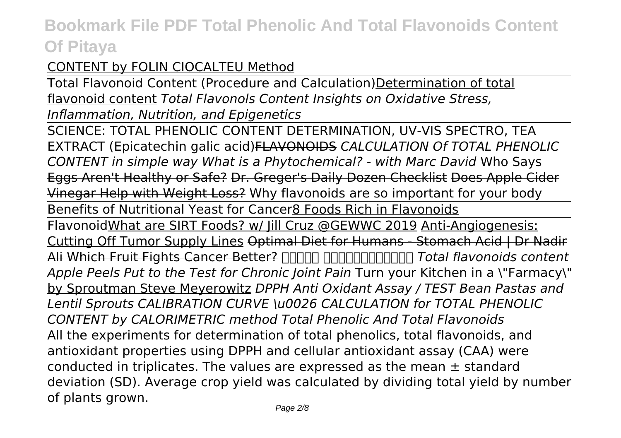## CONTENT by FOLIN CIOCALTEU Method

Total Flavonoid Content (Procedure and Calculation)Determination of total flavonoid content *Total Flavonols Content Insights on Oxidative Stress, Inflammation, Nutrition, and Epigenetics*

SCIENCE: TOTAL PHENOLIC CONTENT DETERMINATION, UV-VIS SPECTRO, TEA EXTRACT (Epicatechin galic acid)FLAVONOIDS *CALCULATION Of TOTAL PHENOLIC CONTENT in simple way What is a Phytochemical? - with Marc David* Who Says Eggs Aren't Healthy or Safe? Dr. Greger's Daily Dozen Checklist Does Apple Cider Vinegar Help with Weight Loss? Why flavonoids are so important for your body Benefits of Nutritional Yeast for Cancer8 Foods Rich in Flavonoids FlavonoidWhat are SIRT Foods? w/ Jill Cruz @GEWWC 2019 Anti-Angiogenesis: Cutting Off Tumor Supply Lines Optimal Diet for Humans - Stomach Acid | Dr Nadir Ali Which Fruit Fights Cancer Better? **[1000 0000000000000000** Total flavonoids content *Apple Peels Put to the Test for Chronic Joint Pain Turn your Kitchen in a \"Farmacy\"* by Sproutman Steve Meyerowitz *DPPH Anti Oxidant Assay / TEST Bean Pastas and Lentil Sprouts CALIBRATION CURVE \u0026 CALCULATION for TOTAL PHENOLIC CONTENT by CALORIMETRIC method Total Phenolic And Total Flavonoids* All the experiments for determination of total phenolics, total flavonoids, and antioxidant properties using DPPH and cellular antioxidant assay (CAA) were conducted in triplicates. The values are expressed as the mean  $\pm$  standard deviation (SD). Average crop yield was calculated by dividing total yield by number of plants grown.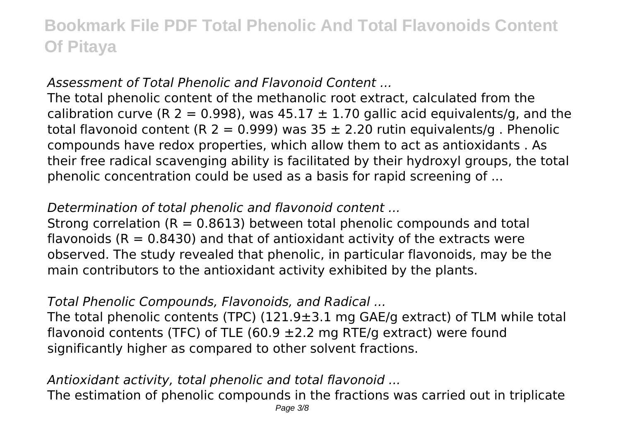### *Assessment of Total Phenolic and Flavonoid Content ...*

The total phenolic content of the methanolic root extract, calculated from the calibration curve (R 2 = 0.998), was  $45.17 \pm 1.70$  gallic acid equivalents/g, and the total flavonoid content (R 2 = 0.999) was  $35 \pm 2.20$  rutin equivalents/g. Phenolic compounds have redox properties, which allow them to act as antioxidants . As their free radical scavenging ability is facilitated by their hydroxyl groups, the total phenolic concentration could be used as a basis for rapid screening of ...

### *Determination of total phenolic and flavonoid content ...*

Strong correlation  $(R = 0.8613)$  between total phenolic compounds and total flavonoids ( $R = 0.8430$ ) and that of antioxidant activity of the extracts were observed. The study revealed that phenolic, in particular flavonoids, may be the main contributors to the antioxidant activity exhibited by the plants.

### *Total Phenolic Compounds, Flavonoids, and Radical ...*

The total phenolic contents (TPC) (121.9±3.1 mg GAE/g extract) of TLM while total flavonoid contents (TFC) of TLE (60.9  $\pm$ 2.2 mg RTE/g extract) were found significantly higher as compared to other solvent fractions.

### *Antioxidant activity, total phenolic and total flavonoid ...*

The estimation of phenolic compounds in the fractions was carried out in triplicate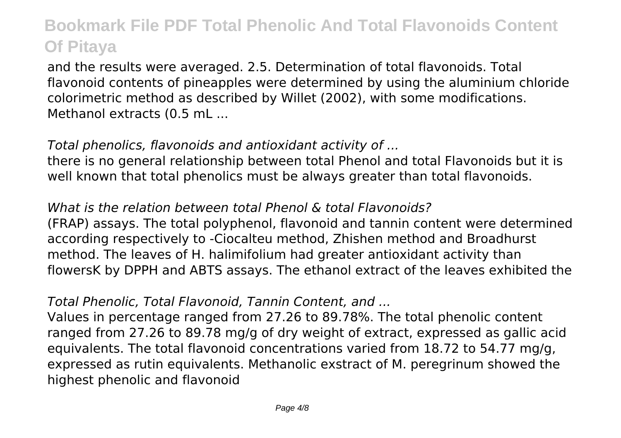and the results were averaged. 2.5. Determination of total flavonoids. Total flavonoid contents of pineapples were determined by using the aluminium chloride colorimetric method as described by Willet (2002), with some modifications. Methanol extracts (0.5 mL ...

### *Total phenolics, flavonoids and antioxidant activity of ...*

there is no general relationship between total Phenol and total Flavonoids but it is well known that total phenolics must be always greater than total flavonoids.

### *What is the relation between total Phenol & total Flavonoids?*

(FRAP) assays. The total polyphenol, flavonoid and tannin content were determined according respectively to -Ciocalteu method, Zhishen method and Broadhurst method. The leaves of H. halimifolium had greater antioxidant activity than flowersK by DPPH and ABTS assays. The ethanol extract of the leaves exhibited the

### *Total Phenolic, Total Flavonoid, Tannin Content, and ...*

Values in percentage ranged from 27.26 to 89.78%. The total phenolic content ranged from 27.26 to 89.78 mg/g of dry weight of extract, expressed as gallic acid equivalents. The total flavonoid concentrations varied from 18.72 to 54.77 mg/g, expressed as rutin equivalents. Methanolic exstract of M. peregrinum showed the highest phenolic and flavonoid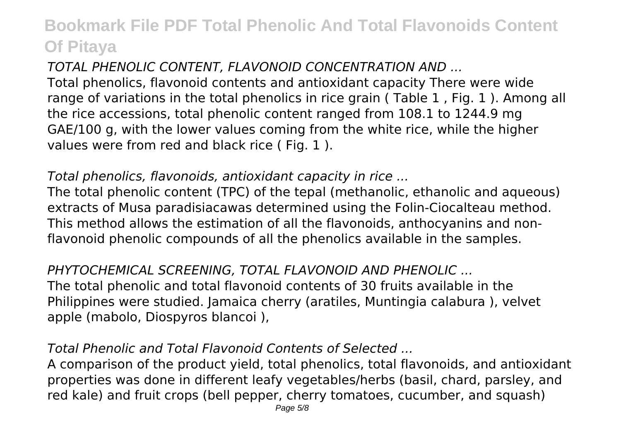## *TOTAL PHENOLIC CONTENT, FLAVONOID CONCENTRATION AND ...*

Total phenolics, flavonoid contents and antioxidant capacity There were wide range of variations in the total phenolics in rice grain ( Table 1 , Fig. 1 ). Among all the rice accessions, total phenolic content ranged from 108.1 to 1244.9 mg GAE/100 g, with the lower values coming from the white rice, while the higher values were from red and black rice ( Fig. 1 ).

## *Total phenolics, flavonoids, antioxidant capacity in rice ...*

The total phenolic content (TPC) of the tepal (methanolic, ethanolic and aqueous) extracts of Musa paradisiacawas determined using the Folin-Ciocalteau method. This method allows the estimation of all the flavonoids, anthocyanins and nonflavonoid phenolic compounds of all the phenolics available in the samples.

#### *PHYTOCHEMICAL SCREENING, TOTAL FLAVONOID AND PHENOLIC ...* The total phenolic and total flavonoid contents of 30 fruits available in the Philippines were studied. Jamaica cherry (aratiles, Muntingia calabura ), velvet apple (mabolo, Diospyros blancoi ),

## *Total Phenolic and Total Flavonoid Contents of Selected ...*

A comparison of the product yield, total phenolics, total flavonoids, and antioxidant properties was done in different leafy vegetables/herbs (basil, chard, parsley, and red kale) and fruit crops (bell pepper, cherry tomatoes, cucumber, and squash)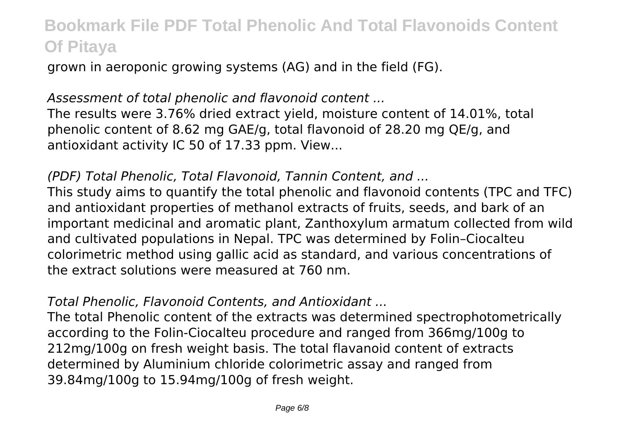grown in aeroponic growing systems (AG) and in the field (FG).

## *Assessment of total phenolic and flavonoid content ...*

The results were 3.76% dried extract yield, moisture content of 14.01%, total phenolic content of 8.62 mg GAE/g, total flavonoid of 28.20 mg QE/g, and antioxidant activity IC 50 of 17.33 ppm. View...

## *(PDF) Total Phenolic, Total Flavonoid, Tannin Content, and ...*

This study aims to quantify the total phenolic and flavonoid contents (TPC and TFC) and antioxidant properties of methanol extracts of fruits, seeds, and bark of an important medicinal and aromatic plant, Zanthoxylum armatum collected from wild and cultivated populations in Nepal. TPC was determined by Folin–Ciocalteu colorimetric method using gallic acid as standard, and various concentrations of the extract solutions were measured at 760 nm.

## *Total Phenolic, Flavonoid Contents, and Antioxidant ...*

The total Phenolic content of the extracts was determined spectrophotometrically according to the Folin-Ciocalteu procedure and ranged from 366mg/100g to 212mg/100g on fresh weight basis. The total flavanoid content of extracts determined by Aluminium chloride colorimetric assay and ranged from 39.84mg/100g to 15.94mg/100g of fresh weight.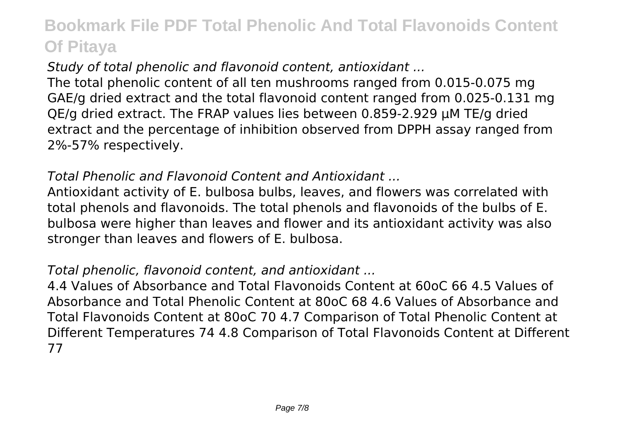*Study of total phenolic and flavonoid content, antioxidant ...*

The total phenolic content of all ten mushrooms ranged from 0.015-0.075 mg GAE/g dried extract and the total flavonoid content ranged from 0.025-0.131 mg QE/g dried extract. The FRAP values lies between 0.859-2.929 μM TE/g dried extract and the percentage of inhibition observed from DPPH assay ranged from 2%-57% respectively.

## *Total Phenolic and Flavonoid Content and Antioxidant ...*

Antioxidant activity of E. bulbosa bulbs, leaves, and flowers was correlated with total phenols and flavonoids. The total phenols and flavonoids of the bulbs of E. bulbosa were higher than leaves and flower and its antioxidant activity was also stronger than leaves and flowers of E. bulbosa.

## *Total phenolic, flavonoid content, and antioxidant ...*

4.4 Values of Absorbance and Total Flavonoids Content at 60oC 66 4.5 Values of Absorbance and Total Phenolic Content at 80oC 68 4.6 Values of Absorbance and Total Flavonoids Content at 80oC 70 4.7 Comparison of Total Phenolic Content at Different Temperatures 74 4.8 Comparison of Total Flavonoids Content at Different 77